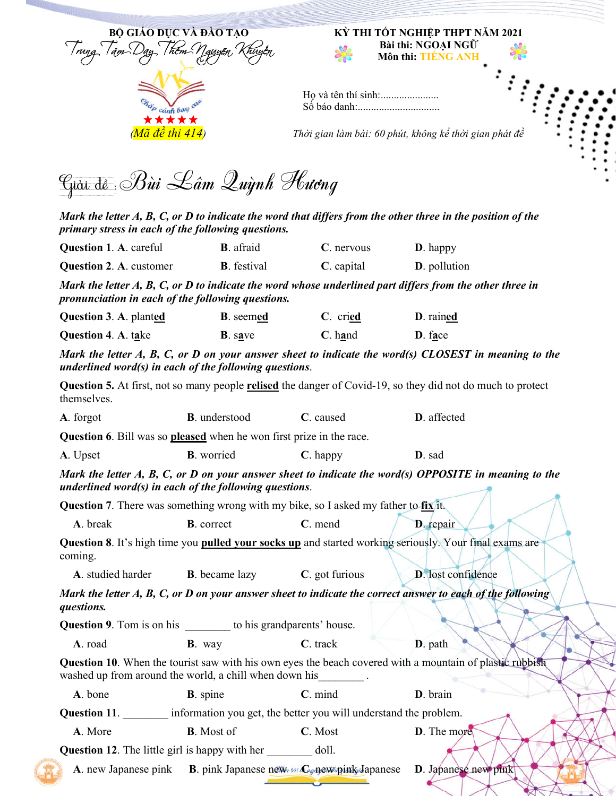

\*\*\*\*\*

# **Bài thi: NGOẠI NGỮ Môn thi: TIẾNG ANH**

| Ho và tên thí sinh: |  |
|---------------------|--|
| Số báo danh:        |  |

*(Mã đề thi 414)**Thời gian làm bài: 60 phút, không kể thời gian phát đề*

Giải đề :Bùi Lâm Quỳnh Hương

*Mark the letter A, B, C, or D to indicate the word that differs from the other three in the position of the primary stress in each of the following questions.*

| <b>Question 1. A. careful</b>                                                                                                                                             | <b>B</b> . afraid                              | C. nervous                                                       | <b>D</b> . happy                                                                                                          |
|---------------------------------------------------------------------------------------------------------------------------------------------------------------------------|------------------------------------------------|------------------------------------------------------------------|---------------------------------------------------------------------------------------------------------------------------|
| <b>Question 2. A. customer</b>                                                                                                                                            | <b>B</b> . festival                            | $C.$ capital                                                     | D. pollution                                                                                                              |
| Mark the letter A, B, C, or D to indicate the word whose underlined part differs from the other three in<br>pronunciation in each of the following questions.             |                                                |                                                                  |                                                                                                                           |
| Question 3. A. planted                                                                                                                                                    | <b>B</b> . seemed                              | C. cried                                                         | D. rained                                                                                                                 |
| Question 4. A. take                                                                                                                                                       | <b>B</b> . save                                | $C.$ hand                                                        | D. face                                                                                                                   |
| underlined word(s) in each of the following questions.                                                                                                                    |                                                |                                                                  | Mark the letter A, B, C, or D on your answer sheet to indicate the word(s) CLOSEST in meaning to the                      |
| themselves.                                                                                                                                                               |                                                |                                                                  | <b>Question 5.</b> At first, not so many people <b>relised</b> the danger of Covid-19, so they did not do much to protect |
| A. forgot                                                                                                                                                                 | <b>B</b> . understood                          | C. caused                                                        | D. affected                                                                                                               |
| Question 6. Bill was so pleased when he won first prize in the race.                                                                                                      |                                                |                                                                  |                                                                                                                           |
| A. Upset                                                                                                                                                                  | <b>B</b> . worried                             | C. happy                                                         | D. sad                                                                                                                    |
| Mark the letter A, B, C, or D on your answer sheet to indicate the word(s) OPPOSITE in meaning to the<br>underlined word(s) in each of the following questions.           |                                                |                                                                  |                                                                                                                           |
| <b>Question</b> 7. There was something wrong with my bike, so I asked my father to $fix$ it.                                                                              |                                                |                                                                  |                                                                                                                           |
| A. break                                                                                                                                                                  | <b>B</b> . correct                             | C. mend                                                          | D. repair                                                                                                                 |
| Question 8. It's high time you pulled your socks up and started working seriously. Your final exams are<br>coming.                                                        |                                                |                                                                  |                                                                                                                           |
| A. studied harder                                                                                                                                                         | <b>B</b> . became lazy                         | C. got furious                                                   | <b>D</b> . lost confidence                                                                                                |
| Mark the letter A, B, C, or D on your answer sheet to indicate the correct answer to each of the following<br>questions.                                                  |                                                |                                                                  |                                                                                                                           |
| <b>Question 9</b> . Tom is on his to his grandparents' house.                                                                                                             |                                                |                                                                  |                                                                                                                           |
| A. road                                                                                                                                                                   | <b>B</b> . way                                 | $C.$ track                                                       | D. path                                                                                                                   |
| <b>Question 10.</b> When the tourist saw with his own eyes the beach covered with a mountain of plastic rubbish<br>washed up from around the world, a chill when down his |                                                |                                                                  |                                                                                                                           |
| A. bone                                                                                                                                                                   | <b>B</b> . spine                               | C. mind                                                          | D. brain                                                                                                                  |
| Question 11.                                                                                                                                                              |                                                | information you get, the better you will understand the problem. |                                                                                                                           |
| A. More                                                                                                                                                                   | <b>B</b> . Most of                             | C. Most                                                          | D. The more                                                                                                               |
| <b>Question 12.</b> The little girl is happy with her doll.                                                                                                               |                                                |                                                                  |                                                                                                                           |
| A. new Japanese pink                                                                                                                                                      | B. pink Japanese new tail Cognew pink Japanese |                                                                  | D. Japanese new pink                                                                                                      |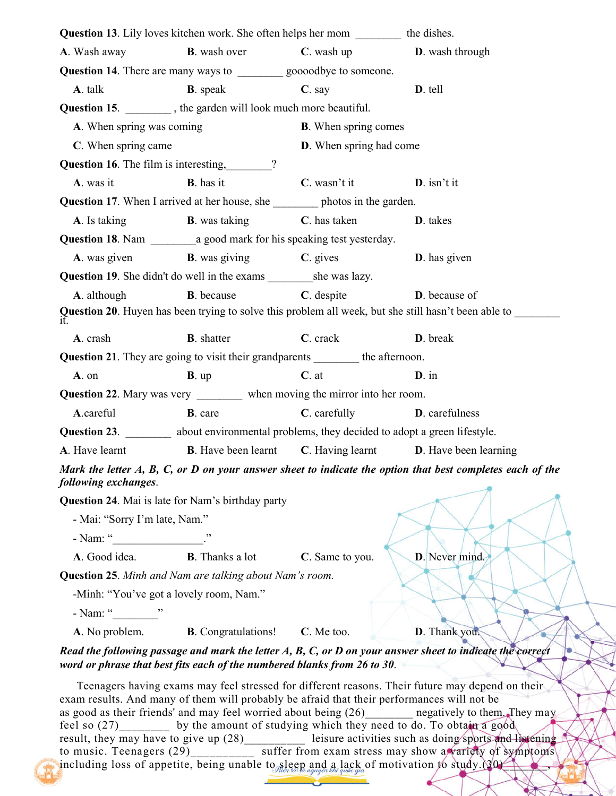| <b>Question 13</b> . Lily loves kitchen work. She often helps her mom _________ the dishes.    |                                                                                        |                                 |                                                                                                                                                                                                                                                                                                                                                                                                                                                                                                         |
|------------------------------------------------------------------------------------------------|----------------------------------------------------------------------------------------|---------------------------------|---------------------------------------------------------------------------------------------------------------------------------------------------------------------------------------------------------------------------------------------------------------------------------------------------------------------------------------------------------------------------------------------------------------------------------------------------------------------------------------------------------|
| A. Wash away                                                                                   | <b>B</b> . wash over                                                                   | $C.$ wash up                    | D. wash through                                                                                                                                                                                                                                                                                                                                                                                                                                                                                         |
| Question 14. There are many ways to __________ goooodbye to someone.                           |                                                                                        |                                 |                                                                                                                                                                                                                                                                                                                                                                                                                                                                                                         |
| A. talk                                                                                        | <b>B</b> . speak                                                                       | $C.$ say                        | D. tell                                                                                                                                                                                                                                                                                                                                                                                                                                                                                                 |
| <b>Question 15.</b> _________, the garden will look much more beautiful.                       |                                                                                        |                                 |                                                                                                                                                                                                                                                                                                                                                                                                                                                                                                         |
| A. When spring was coming                                                                      |                                                                                        | <b>B</b> . When spring comes    |                                                                                                                                                                                                                                                                                                                                                                                                                                                                                                         |
| C. When spring came                                                                            |                                                                                        | <b>D</b> . When spring had come |                                                                                                                                                                                                                                                                                                                                                                                                                                                                                                         |
| Question 16. The film is interesting, 2                                                        |                                                                                        |                                 |                                                                                                                                                                                                                                                                                                                                                                                                                                                                                                         |
| A. was it                                                                                      | <b>B</b> . has it                                                                      | C. wasn't it                    | $D$ . isn't it                                                                                                                                                                                                                                                                                                                                                                                                                                                                                          |
|                                                                                                | <b>Question 17.</b> When I arrived at her house, she ___________ photos in the garden. |                                 |                                                                                                                                                                                                                                                                                                                                                                                                                                                                                                         |
| A. Is taking                                                                                   | <b>B</b> . was taking                                                                  | C. has taken                    | D. takes                                                                                                                                                                                                                                                                                                                                                                                                                                                                                                |
|                                                                                                | <b>Question 18</b> . Nam a good mark for his speaking test yesterday.                  |                                 |                                                                                                                                                                                                                                                                                                                                                                                                                                                                                                         |
| A. was given                                                                                   | <b>B</b> . was giving                                                                  | $C.$ gives                      | <b>D</b> . has given                                                                                                                                                                                                                                                                                                                                                                                                                                                                                    |
|                                                                                                |                                                                                        |                                 |                                                                                                                                                                                                                                                                                                                                                                                                                                                                                                         |
| A. although                                                                                    | <b>B</b> . because                                                                     | $C.$ despite                    | D. because of                                                                                                                                                                                                                                                                                                                                                                                                                                                                                           |
|                                                                                                |                                                                                        |                                 | Question 20. Huyen has been trying to solve this problem all week, but she still hasn't been able to _________                                                                                                                                                                                                                                                                                                                                                                                          |
| A. crash                                                                                       | <b>B</b> . shatter                                                                     | C. crack                        | D. break                                                                                                                                                                                                                                                                                                                                                                                                                                                                                                |
|                                                                                                | Question 21. They are going to visit their grandparents _________ the afternoon.       |                                 |                                                                                                                                                                                                                                                                                                                                                                                                                                                                                                         |
| A. on                                                                                          | $B$ . up                                                                               | $C.$ at                         | $D \cdot$ in                                                                                                                                                                                                                                                                                                                                                                                                                                                                                            |
|                                                                                                | Question 22. Mary was very _________ when moving the mirror into her room.             |                                 |                                                                                                                                                                                                                                                                                                                                                                                                                                                                                                         |
| A.careful                                                                                      | <b>B</b> . care                                                                        | C. carefully                    | <b>D</b> . carefulness                                                                                                                                                                                                                                                                                                                                                                                                                                                                                  |
| Question 23. ________ about environmental problems, they decided to adopt a green lifestyle.   |                                                                                        |                                 |                                                                                                                                                                                                                                                                                                                                                                                                                                                                                                         |
| A. Have learnt <b>B.</b> Have been learnt <b>C.</b> Having learnt <b>D.</b> Have been learning |                                                                                        |                                 |                                                                                                                                                                                                                                                                                                                                                                                                                                                                                                         |
|                                                                                                |                                                                                        |                                 | Mark the letter A, B, C, or D on your answer sheet to indicate the option that best completes each of the                                                                                                                                                                                                                                                                                                                                                                                               |
| following exchanges.                                                                           |                                                                                        |                                 |                                                                                                                                                                                                                                                                                                                                                                                                                                                                                                         |
| Question 24. Mai is late for Nam's birthday party                                              |                                                                                        |                                 |                                                                                                                                                                                                                                                                                                                                                                                                                                                                                                         |
| - Mai: "Sorry I'm late, Nam."                                                                  |                                                                                        |                                 |                                                                                                                                                                                                                                                                                                                                                                                                                                                                                                         |
|                                                                                                |                                                                                        |                                 |                                                                                                                                                                                                                                                                                                                                                                                                                                                                                                         |
|                                                                                                | A. Good idea. B. Thanks a lot C. Same to you.                                          |                                 | D. Never mind.                                                                                                                                                                                                                                                                                                                                                                                                                                                                                          |
| Question 25. Minh and Nam are talking about Nam's room.                                        |                                                                                        |                                 |                                                                                                                                                                                                                                                                                                                                                                                                                                                                                                         |
| -Minh: "You've got a lovely room, Nam."                                                        |                                                                                        |                                 |                                                                                                                                                                                                                                                                                                                                                                                                                                                                                                         |
|                                                                                                |                                                                                        |                                 |                                                                                                                                                                                                                                                                                                                                                                                                                                                                                                         |
|                                                                                                | A. No problem. B. Congratulations! C. Me too.                                          |                                 | D. Thank you.                                                                                                                                                                                                                                                                                                                                                                                                                                                                                           |
|                                                                                                | word or phrase that best fits each of the numbered blanks from 26 to 30.               |                                 | Read the following passage and mark the letter A, B, C, or D on your answer sheet to indicate the correct                                                                                                                                                                                                                                                                                                                                                                                               |
| exam results. And many of them will probably be afraid that their performances will not be     | feel so (27) by the amount of studying which they need to do. To obtain a good         |                                 | Teenagers having exams may feel stressed for different reasons. Their future may depend on their<br>as good as their friends' and may feel worried about being (26)_______ negatively to them. They may<br>result, they may have to give up (28)_________ leisure activities such as doing sports and listening<br>to music. Teenagers (29) ________ suffer from exam stress may show a variety of symptoms<br>including loss of appetite, being unable to sleep and a lack of motivation to study.(30) |

è

۰ ۷ń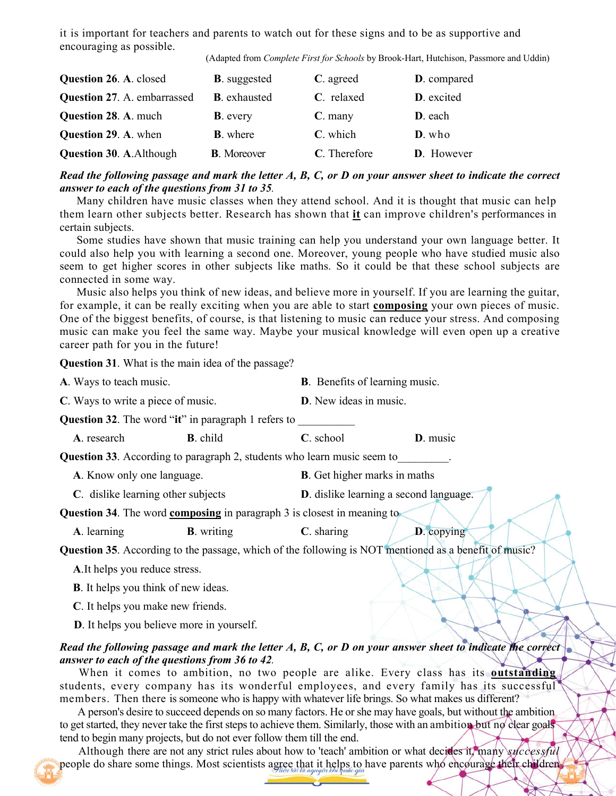it is important for teachers and parents to watch out for these signs and to be as supportive and encouraging as possible.

(Adapted from *Complete First for Schools* by Brook-Hart, Hutchison, Passmore and Uddin)

| <b>Question 26. A. closed</b>      | <b>B</b> . suggested | C. agreed    | D. compared        |
|------------------------------------|----------------------|--------------|--------------------|
| <b>Question 27. A. embarrassed</b> | <b>B</b> . exhausted | C. relaxed   | <b>D</b> . excited |
| <b>Question 28. A. much</b>        | <b>B</b> . every     | $C.$ many    | D. each            |
| Question 29. A. when               | <b>B</b> . where     | C. which     | $D.$ who           |
| <b>Question 30. A. Although</b>    | <b>B</b> . Moreover  | C. Therefore | <b>D</b> . However |

#### *Read the following passage and mark the letter A, B, C, or D on your answer sheet to indicate the correct answer to each of the questions from 31 to 35.*

Many children have music classes when they attend school. And it is thought that music can help them learn other subjects better. Research has shown that **it** can improve children's performances in certain subjects.

Some studies have shown that music training can help you understand your own language better. It could also help you with learning a second one. Moreover, young people who have studied music also seem to get higher scores in other subjects like maths. So it could be that these school subjects are connected in some way.

Music also helps you think of new ideas, and believe more in yourself. If you are learning the guitar, for example, it can be really exciting when you are able to start **composing** your own pieces of music. One of the biggest benefits, of course, is that listening to music can reduce your stress. And composing music can make you feel the same way. Maybe your musical knowledge will even open up a creative career path for you in the future!

**Question 31**. What is the main idea of the passage?

| A. Ways to teach music.                                                                                                                                                                                                        | <b>B</b> . Benefits of learning music.                                                                                                                                                                                                                                                                                                                                                                                                                                                                                                                                                                                                                   |  |  |
|--------------------------------------------------------------------------------------------------------------------------------------------------------------------------------------------------------------------------------|----------------------------------------------------------------------------------------------------------------------------------------------------------------------------------------------------------------------------------------------------------------------------------------------------------------------------------------------------------------------------------------------------------------------------------------------------------------------------------------------------------------------------------------------------------------------------------------------------------------------------------------------------------|--|--|
| C. Ways to write a piece of music.                                                                                                                                                                                             | D. New ideas in music.                                                                                                                                                                                                                                                                                                                                                                                                                                                                                                                                                                                                                                   |  |  |
| <b>Question 32.</b> The word "it" in paragraph 1 refers to                                                                                                                                                                     |                                                                                                                                                                                                                                                                                                                                                                                                                                                                                                                                                                                                                                                          |  |  |
| <b>B</b> . child<br>A. research                                                                                                                                                                                                | C. school<br>D. music                                                                                                                                                                                                                                                                                                                                                                                                                                                                                                                                                                                                                                    |  |  |
| <b>Question 33</b> . According to paragraph 2, students who learn music seem to                                                                                                                                                |                                                                                                                                                                                                                                                                                                                                                                                                                                                                                                                                                                                                                                                          |  |  |
| A. Know only one language.                                                                                                                                                                                                     | <b>B</b> . Get higher marks in maths                                                                                                                                                                                                                                                                                                                                                                                                                                                                                                                                                                                                                     |  |  |
| C. dislike learning other subjects                                                                                                                                                                                             | <b>D</b> . dislike learning a second language.                                                                                                                                                                                                                                                                                                                                                                                                                                                                                                                                                                                                           |  |  |
| <b>Question 34.</b> The word <b>composing</b> in paragraph 3 is closest in meaning to                                                                                                                                          |                                                                                                                                                                                                                                                                                                                                                                                                                                                                                                                                                                                                                                                          |  |  |
| A. learning<br><b>B</b> . writing                                                                                                                                                                                              | $C.$ sharing<br><b>D</b> . copying                                                                                                                                                                                                                                                                                                                                                                                                                                                                                                                                                                                                                       |  |  |
| Question 35. According to the passage, which of the following is NOT mentioned as a benefit of music?                                                                                                                          |                                                                                                                                                                                                                                                                                                                                                                                                                                                                                                                                                                                                                                                          |  |  |
| A. It helps you reduce stress.                                                                                                                                                                                                 |                                                                                                                                                                                                                                                                                                                                                                                                                                                                                                                                                                                                                                                          |  |  |
| <b>B</b> . It helps you think of new ideas.                                                                                                                                                                                    |                                                                                                                                                                                                                                                                                                                                                                                                                                                                                                                                                                                                                                                          |  |  |
| C. It helps you make new friends.                                                                                                                                                                                              |                                                                                                                                                                                                                                                                                                                                                                                                                                                                                                                                                                                                                                                          |  |  |
| D. It helps you believe more in yourself.                                                                                                                                                                                      |                                                                                                                                                                                                                                                                                                                                                                                                                                                                                                                                                                                                                                                          |  |  |
| answer to each of the questions from 36 to 42.<br>members. Then there is someone who is happy with whatever life brings. So what makes us different?<br>tend to begin many projects, but do not ever follow them till the end. | Read the following passage and mark the letter A, B, C, or D on your answer sheet to indicate the correct<br>When it comes to ambition, no two people are alike. Every class has its <b>outstanding</b><br>students, every company has its wonderful employees, and every family has its successful<br>A person's desire to succeed depends on so many factors. He or she may have goals, but without the ambition<br>to get started, they never take the first steps to achieve them. Similarly, those with an ambition but no clear goals<br>Although there are not any strict rules about how to 'teach' ambition or what decides it, many successful |  |  |

people do share some things. Most scientists agree that it helps to have parents who encourage their children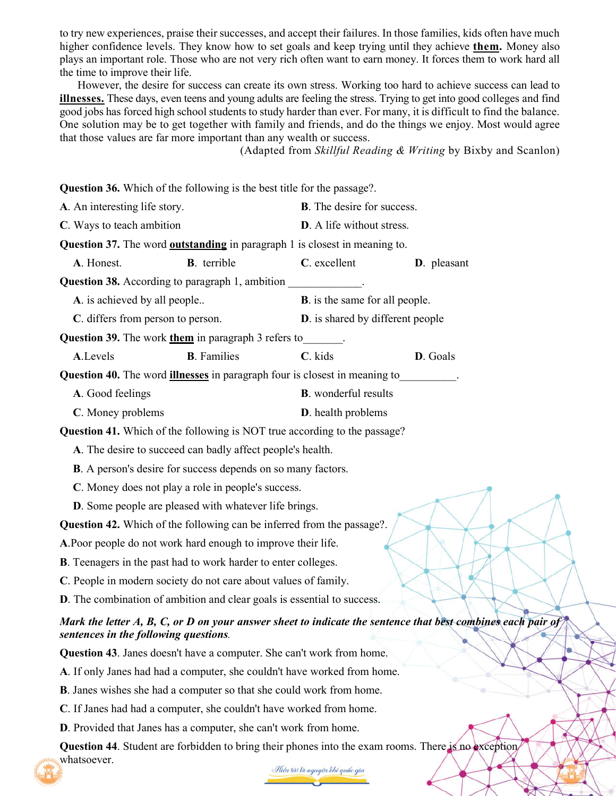to try new experiences, praise their successes, and accept their failures. In those families, kids often have much higher confidence levels. They know how to set goals and keep trying until they achieve **them.** Money also plays an important role. Those who are not very rich often want to earn money. It forces them to work hard all the time to improve their life.

However, the desire for success can create its own stress. Working too hard to achieve success can lead to **illnesses.** These days, even teens and young adults are feeling the stress. Trying to get into good colleges and find good jobs has forced high school students to study harder than ever. For many, it is difficult to find the balance. One solution may be to get together with family and friends, and do the things we enjoy. Most would agree that those values are far more important than any wealth or success.

(Adapted from *Skillful Reading & Writing* by Bixby and Scanlon)

**Question 36.** Which of the following is the best title for the passage?. **A**. An interesting life story. **B**. The desire for success. **C**. Ways to teach ambition **D**. A life without stress. **Question 37.** The word **outstanding** in paragraph 1 is closest in meaning to. **A**. Honest. **B**. terrible **C**. excellent **D**. pleasant **Question 38.** According to paragraph 1, ambition **A**. is achieved by all people.. **B**. is the same for all people. **C**. differs from person to person. **D**. is shared by different people **Question 39.** The work **them** in paragraph 3 refers to\_\_\_\_\_\_\_. **A**.Levels **B**. Families **C**. kids **D**. Goals **Question 40.** The word **illnesses** in paragraph four is closest in meaning to\_\_\_\_\_\_\_\_\_\_. **A**. Good feelings **B**. wonderful results **C**. Money problems **D**. health problems **Question 41.** Which of the following is NOT true according to the passage? **A**. The desire to succeed can badly affect people's health. **B**. A person's desire for success depends on so many factors. **C**. Money does not play a role in people's success. **D**. Some people are pleased with whatever life brings. **Question 42.** Which of the following can be inferred from the passage?. **A**.Poor people do not work hard enough to improve their life. **B**. Teenagers in the past had to work harder to enter colleges. **C**. People in modern society do not care about values of family. **D**. The combination of ambition and clear goals is essential to success. *Mark the letter A, B, C, or D on your answer sheet to indicate the sentence that best combines each pair of sentences in the following questions.* **Question 43**. Janes doesn't have a computer. She can't work from home. **A**. If only Janes had had a computer, she couldn't have worked from home. **B**. Janes wishes she had a computer so that she could work from home. **C**. If Janes had had a computer, she couldn't have worked from home. **D**. Provided that Janes has a computer, she can't work from home. **Question 44**. Student are forbidden to bring their phones into the exam rooms. There is no exception whatsoever.

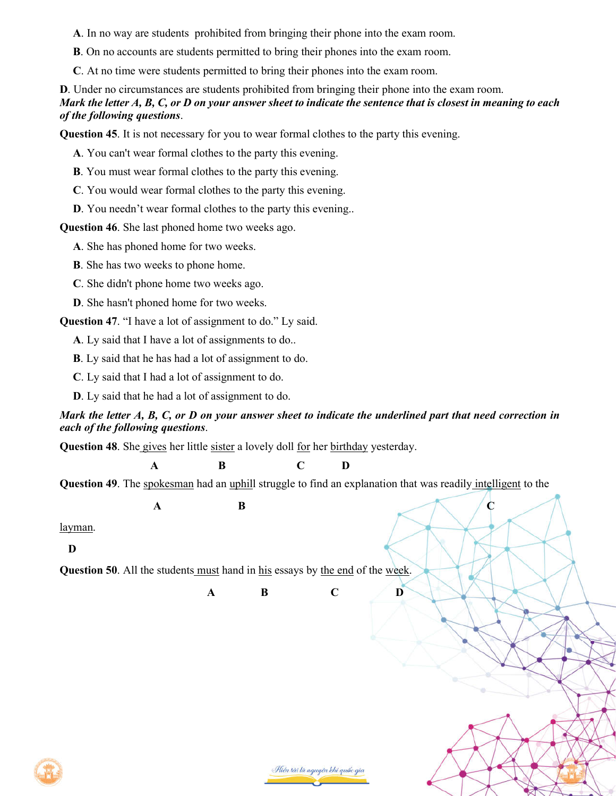**A**. In no way are students prohibited from bringing their phone into the exam room.

**B**. On no accounts are students permitted to bring their phones into the exam room.

**C**. At no time were students permitted to bring their phones into the exam room.

**D**. Under no circumstances are students prohibited from bringing their phone into the exam room. *Mark the letter A, B, C, or D on your answer sheet to indicate the sentence that is closest in meaning to each of the following questions*.

**Question 45**. It is not necessary for you to wear formal clothes to the party this evening.

**A**. You can't wear formal clothes to the party this evening.

**B**. You must wear formal clothes to the party this evening.

**C**. You would wear formal clothes to the party this evening.

**D**. You needn't wear formal clothes to the party this evening..

**Question 46**. She last phoned home two weeks ago.

**A**. She has phoned home for two weeks.

**B**. She has two weeks to phone home.

**C**. She didn't phone home two weeks ago.

**D**. She hasn't phoned home for two weeks.

**Question 47.** "I have a lot of assignment to do." Ly said.

**A**. Ly said that I have a lot of assignments to do..

**B**. Ly said that he has had a lot of assignment to do.

**C**. Ly said that I had a lot of assignment to do.

**D**. Ly said that he had a lot of assignment to do.

#### *Mark the letter A, B, C, or D on your answer sheet to indicate the underlined part that need correction in each of the following questions*.

**Question 48**. She gives her little sister a lovely doll for her birthday yesterday.

**A B C D**

**Question 49**. The spokesman had an uphill struggle to find an explanation that was readily intelligent to the

 $\mathbf{A}$  **B**  $\qquad \qquad \mathbf{C}$ 

layman.

 **D**

**Question 50**. All the students must hand in his essays by the end of the week.

**A B C D**



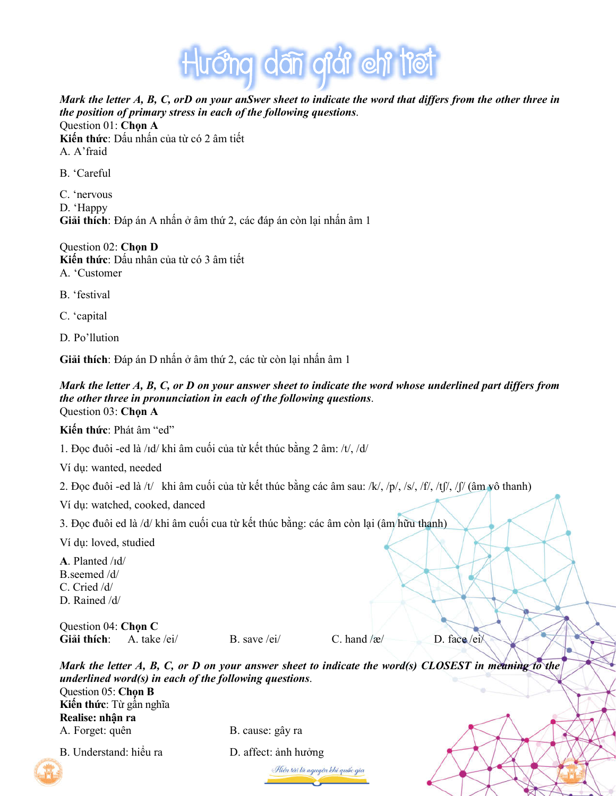

*Mark the letter A, B, C, orD on your anSwer sheet to indicate the word that differs from the other three in the position of primary stress in each of the following questions*. Question 01: **Chọn A**

**Kiến thức**: Dấu nhấn của từ có 2 âm tiết A. A'fraid

B. 'Careful

C. 'nervous D. 'Happy **Giải thích**: Đáp án A nhấn ở âm thứ 2, các đáp án còn lại nhấn âm 1

Question 02: **Chọn D Kiến thức**: Dấu nhân của từ có 3 âm tiết A. 'Customer

- B. 'festival
- C. 'capital
- D. Po'llution

**Giải thích**: Đáp án D nhấn ở âm thứ 2, các từ còn lại nhấn âm 1

#### *Mark the letter A, B, C, or D on your answer sheet to indicate the word whose underlined part differs from the other three in pronunciation in each of the following questions*. Question 03: **Chọn A**

**Kiến thức**: Phát âm "ed"

1. Đọc đuôi -ed là /ɪd/ khi âm cuối của từ kết thúc bằng 2 âm: /t/, /d/

Ví dụ: wanted, needed

2. Đọc đuôi -ed là /t/ khi âm cuối của từ kết thúc bằng các âm sau: /k/, /p/, /s/, /f/, /tʃ/, /ʃ/ (âm vô thanh)

Ví dụ: watched, cooked, danced

3. Đọc đuôi ed là /d/ khi âm cuối cua từ kết thúc bằng: các âm còn lại (âm hữu thanh)

Ví dụ: loved, studied

**A**. Planted /ɪd/ B.seemed /d/ C. Cried /d/

D. Rained /d/

Question 04: **Chọn C** Giải thích: A. take /ei/ B. save /ei/ C. hand /æ/ D. face /ei/

*Mark the letter A, B, C, or D on your answer sheet to indicate the word(s) CLOSEST in meaning to the underlined word(s) in each of the following questions*. Question 05: **Chọn B Kiến thức**: Từ gần nghĩa **Realise: nhận ra** A. Forget: quên B. cause: gây ra

Hiền tài là nguyên khi quốc gia



B. Understand: hiểu ra D. affect: ảnh hưởng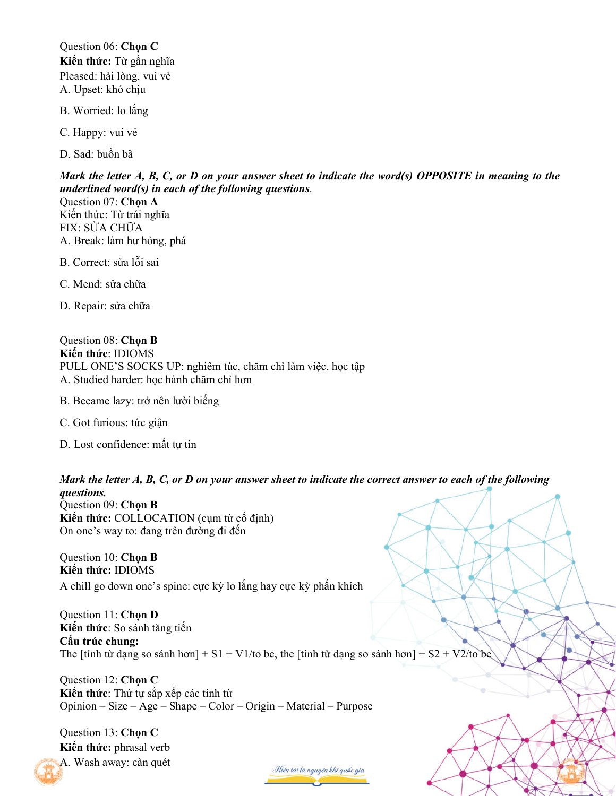Question 06: **Chọn C Kiến thức:** Từ gần nghĩa Pleased: hài lòng, vui vẻ A. Upset: khó chịu

- B. Worried: lo lắng
- C. Happy: vui vẻ

D. Sad: buồn bã

*Mark the letter A, B, C, or D on your answer sheet to indicate the word(s) OPPOSITE in meaning to the underlined word(s) in each of the following questions*.

Question 07: **Chọn A** Kiến thức: Từ trái nghĩa FIX: SỬA CHỮA A. Break: làm hư hỏng, phá

- B. Correct: sửa lỗi sai
- C. Mend: sửa chữa
- D. Repair: sửa chữa

Question 08: **Chọn B Kiến thức**: IDIOMS PULL ONE'S SOCKS UP: nghiêm túc, chăm chỉ làm việc, học tập A. Studied harder: học hành chăm chỉ hơn

- B. Became lazy: trở nên lười biếng
- C. Got furious: tức giận
- D. Lost confidence: mất tư tin

*Mark the letter A, B, C, or D on your answer sheet to indicate the correct answer to each of the following questions.* 

Question 09: **Chọn B Kiến thức:** COLLOCATION (cụm từ cố định) On one's way to: đang trên đường đi đến

Question 10: **Chọn B Kiến thức:** IDIOMS A chill go down one's spine: cực kỳ lo lắng hay cực kỳ phấn khích

Question 11: **Chọn D Kiến thức**: So sánh tăng tiến **Cấu trúc chung:** The [tính từ dạng so sánh hơn] + S1 + V1/to be, the [tính từ dạng so sánh hơn] + S2 + V2/to be

Question 12: **Chọn C Kiến thức**: Thứ tự sắp xếp các tính từ Opinion – Size – Age – Shape – Color – Origin – Material – Purpose

Question 13: **Chọn C Kiến thức:** phrasal verb A. Wash away: càn quét

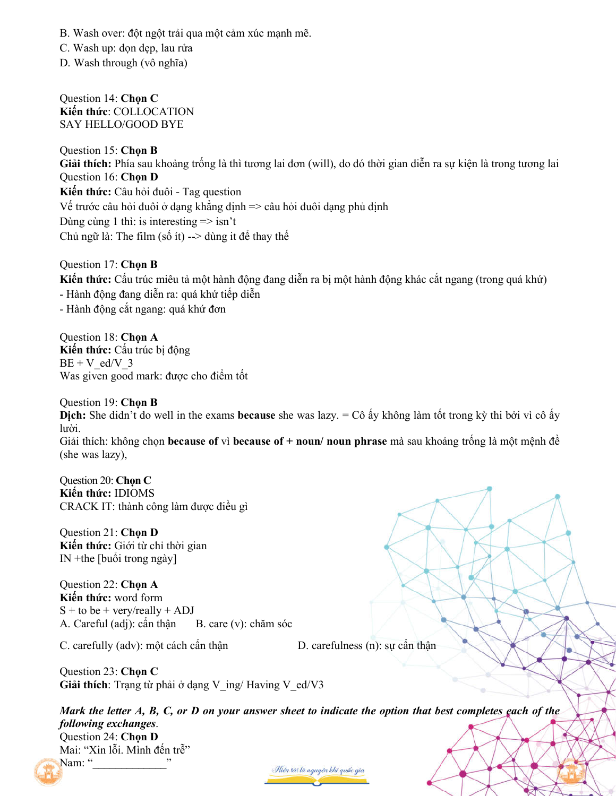B. Wash over: đột ngột trải qua một cảm xúc mạnh mẽ.

C. Wash up: don dep, lau rửa

D. Wash through (vô nghĩa)

Question 14: **Chọn C Kiến thức**: COLLOCATION SAY HELLO/GOOD BYE

Question 15: **Chọn B Giải thích:** Phía sau khoảng trống là thì tương lai đơn (will), do đó thời gian diễn ra sự kiện là trong tương lai Question 16: **Chọn D Kiến thức:** Câu hỏi đuôi - Tag question Vế trước câu hỏi đuôi ở dạng khẳng định  $\Rightarrow$  câu hỏi đuôi dạng phủ định Dùng cùng 1 thì: is interesting  $\Rightarrow$  isn't Chủ ngữ là: The film (số ít) --> dùng it để thay thế

Question 17: **Chọn B Kiến thức:** Cấu trúc miêu tả một hành động đang diễn ra bị một hành động khác cắt ngang (trong quá khứ) - Hành động đang diễn ra: quá khứ tiếp diễn - Hành động cắt ngang: quá khứ đơn

Question 18: **Chọn A Kiến thức:** Cấu trúc bị động  $BE + V$  ed/V 3 Was given good mark: được cho điểm tốt

Question 19: **Chọn B Dịch:** She didn't do well in the exams **because** she was lazy. = Cô ấy không làm tốt trong kỳ thi bởi vì cô ấy lười. Giải thích: không chọn **because of** vì **because of + noun/ noun phrase** mà sau khoảng trống là một mệnh đề (she was lazy),

Question 20: **Chọn C Kiến thức:** IDIOMS CRACK IT: thành công làm được điều gì

Question 21: **Chọn D Kiến thức:** Giới từ chỉ thời gian IN +the [buổi trong ngày]

Question 22: **Chọn A Kiến thức:** word form  $S +$  to be + very/really + ADJ A. Careful (adj): cẩn thân  $B$ . care (v): chăm sóc

C. carefully (adv): một cách cần thận D. carefulness (n): sự cần thận

Question 23: **Chọn C Giải thích**: Trạng từ phải ở dạng V\_ing/ Having V\_ed/V3

*Mark the letter A, B, C, or D on your answer sheet to indicate the option that best completes each of the following exchanges*. Question 24: **Chọn D** Mai: "Xin lỗi. Mình đến trễ" Nam: "

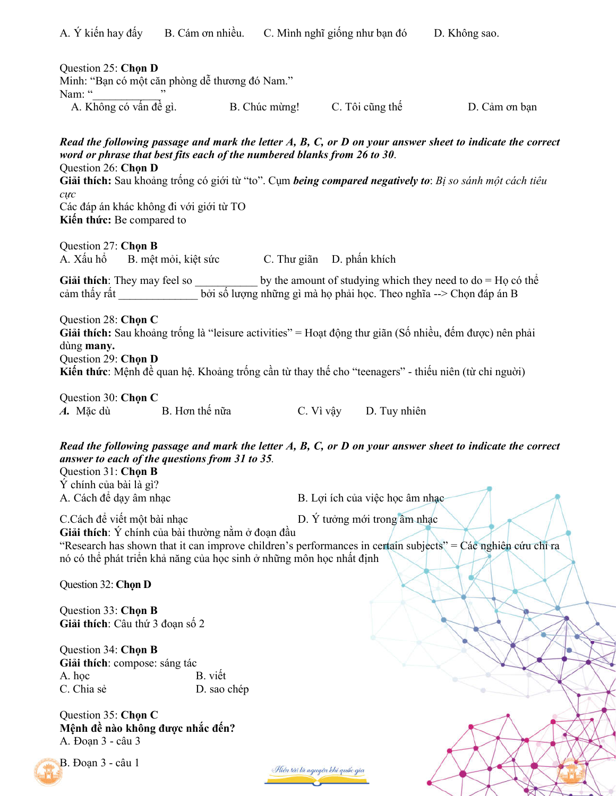| Question 25: Chon D<br>Minh: "Bạn có một căn phòng dễ thương đó Nam."<br>Nam: "                                                                                                                                                                                                                                                                                                                                                    |                               |                                 |               |
|------------------------------------------------------------------------------------------------------------------------------------------------------------------------------------------------------------------------------------------------------------------------------------------------------------------------------------------------------------------------------------------------------------------------------------|-------------------------------|---------------------------------|---------------|
| A. Không có vấn đề gì.                                                                                                                                                                                                                                                                                                                                                                                                             | B. Chúc mừng! C. Tôi cũng thế |                                 | D. Cảm ơn bạn |
| Read the following passage and mark the letter $A$ , $B$ , $C$ , or $D$ on your answer sheet to indicate the correct<br>word or phrase that best fits each of the numbered blanks from 26 to 30.<br>Question 26: Chon D<br>Giải thích: Sau khoảng trống có giới từ "to". Cụm being compared negatively to: Bị so sánh một cách tiêu<br>$C\mu$ <sup>c</sup><br>Các đáp án khác không đi với giới từ TO<br>Kiến thức: Be compared to |                               |                                 |               |
| Question 27: Chon B<br>A. Xấu hổ B. mệt mỏi, kiệt sức C. Thư giãn D. phấn khích                                                                                                                                                                                                                                                                                                                                                    |                               |                                 |               |
| Giải thích: They may feel so ____________ by the amount of studying which they need to $do = Ho$ có thể<br>cảm thấy rất bởi số lượng những gì mà họ phải học. Theo nghĩa --> Chọn đáp án B                                                                                                                                                                                                                                         |                               |                                 |               |
| Question 28: Chon C<br>Giải thích: Sau khoảng trống là "leisure activities" = Hoạt động thư giãn (Số nhiều, đếm được) nên phải<br>dùng many.<br>Question 29: Chon D<br>Kiến thức: Mệnh đề quan hệ. Khoảng trống cần từ thay thế cho "teenagers" - thiếu niên (từ chỉ nguời)                                                                                                                                                        |                               |                                 |               |
| Question 30: Chon C<br>A. Mặc dù B. Hơn thế nữa                                                                                                                                                                                                                                                                                                                                                                                    |                               | C. Vì vậy D. Tuy nhiên          |               |
| Read the following passage and mark the letter $A$ , $B$ , $C$ , or $D$ on your answer sheet to indicate the correct<br>answer to each of the questions from 31 to 35.<br>Question 31: Chọn B<br>Ý chính của bài là gì?<br>A. Cách để dạy âm nhạc                                                                                                                                                                                  |                               | B. Lợi ích của việc học âm nhạc |               |
| C.Cách để viết một bài nhạc<br>Giải thích: Ý chính của bài thường nằm ở đoạn đầu<br>"Research has shown that it can improve children's performances in certain subjects" = Các nghiên cứu chỉ ra<br>nó có thể phát triển khả năng của học sinh ở những môn học nhất định                                                                                                                                                           |                               | D. Ý tưởng mới trong âm nhạc    |               |
| Question 32: Chon D                                                                                                                                                                                                                                                                                                                                                                                                                |                               |                                 |               |
| Question 33: Chon B<br>Giải thích: Câu thứ 3 đoạn số 2                                                                                                                                                                                                                                                                                                                                                                             |                               |                                 |               |
| Question 34: Chon B<br>Giải thích: compose: sáng tác<br>A. học<br>C. Chia sẻ                                                                                                                                                                                                                                                                                                                                                       | B. viết<br>D. sao chép        |                                 |               |

Question 35: **Chọn C Mệnh đề nào không được nhắc đến?** A. Đoạn 3 - câu 3



B. Đoạn 3 - câu 1

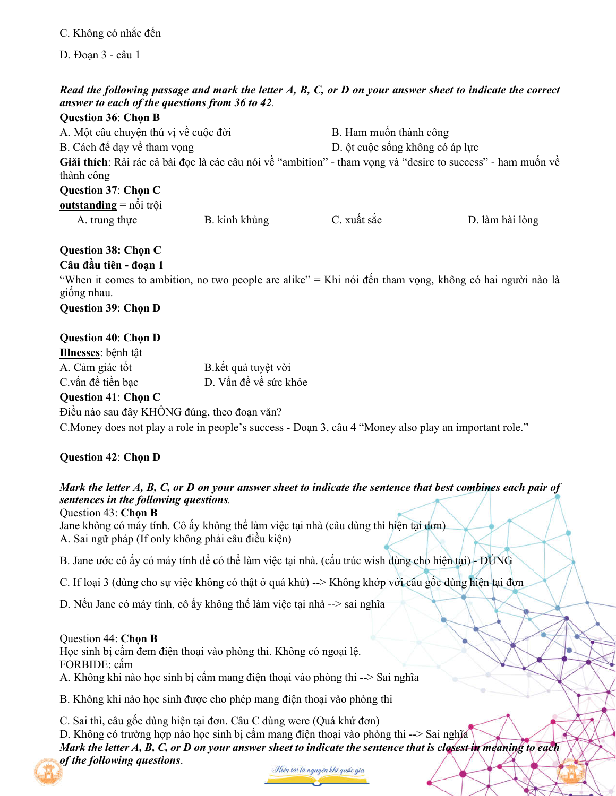C. Không có nhắc đến

D. Đoạn 3 - câu 1

## *Read the following passage and mark the letter A, B, C, or D on your answer sheet to indicate the correct answer to each of the questions from 36 to 42.*

| <b>Question 36: Chon B</b>                  |               |                                 |                                                                                                              |
|---------------------------------------------|---------------|---------------------------------|--------------------------------------------------------------------------------------------------------------|
| A. Một câu chuyện thú vị về cuộc đời        |               | B. Ham muốn thành công          |                                                                                                              |
| B. Cách để dạy về tham vọng                 |               | D. ột cuộc sống không có áp lực |                                                                                                              |
| thành công                                  |               |                                 | Giải thích: Rải rác cả bài đọc là các câu nói về "ambition" - tham vọng và "desire to success" - ham muốn về |
| Question 37: Chon C                         |               |                                 |                                                                                                              |
| <b>outstanding</b> = $n\hat{\theta}$ i trội |               |                                 |                                                                                                              |
| A. trung thực                               | B. kinh khủng | C. xuất sắc                     | D. làm hài lòng                                                                                              |
|                                             |               |                                 |                                                                                                              |

## **Question 38: Chọn C**

## **Câu đầu tiên - đoạn 1**

"When it comes to ambition, no two people are alike" = Khi nói đến tham vọng, không có hai người nào là giống nhau.

**Question 39**: **Chọn D**

## **Question 40**: **Chọn D**

| Illnesses: bệnh tật |                       |
|---------------------|-----------------------|
| A. Cảm giác tốt     | B.kết quả tuyệt vời   |
| C.vấn đề tiền bac   | D. Vấn đề về sức khỏe |
|                     |                       |

## **Question 41**: **Chọn C**

Điều nào sau đây KHÔNG đúng, theo đoạn văn? C.Money does not play a role in people's success - Đoạn 3, câu 4 "Money also play an important role."

# **Question 42**: **Chọn D**

# *Mark the letter A, B, C, or D on your answer sheet to indicate the sentence that best combines each pair of sentences in the following questions.*

Question 43: **Chọn B** Jane không có máy tính. Cô ấy không thể làm việc tại nhà (câu dùng thì hiện tại đơn) A. Sai ngữ pháp (If only không phải câu điều kiện)

B. Jane ước cô ấy có máy tính để có thể làm việc tại nhà. (cấu trúc wish dùng cho hiện tại) - ĐÚNG

C. If loại 3 (dùng cho sự việc không có thật ở quá khứ) --> Không khớp với câu gốc dùng hiện tại đơn

D. Nếu Jane có máy tính, cô ấy không thể làm việc tại nhà --> sai nghĩa

## Question 44: **Chọn B**

Học sinh bị cấm đem điện thoại vào phòng thi. Không có ngoại lệ.

FORBIDE: cấm

A. Không khi nào học sinh bị cấm mang điện thoại vào phòng thi --> Sai nghĩa

B. Không khi nào học sinh được cho phép mang điện thoại vào phòng thi

C. Sai thì, câu gốc dùng hiện tại đơn. Câu C dùng were (Quá khứ đơn)

D. Không có trường hợp nào học sinh bị cấm mang điện thoại vào phòng thi --> Sai nghĩa *Mark the letter A, B, C, or D on your answer sheet to indicate the sentence that is closest in meaning to each of the following questions*.